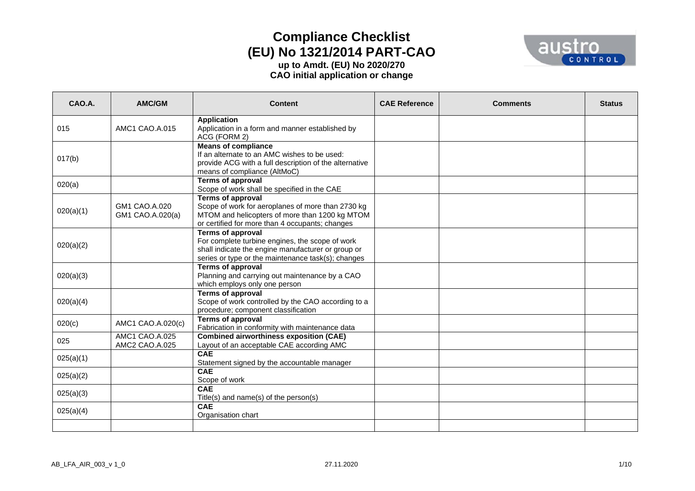

| CAO.A.    | AMC/GM                            | <b>Content</b>                                                                                                                                                                          | <b>CAE Reference</b> | <b>Comments</b> | <b>Status</b> |
|-----------|-----------------------------------|-----------------------------------------------------------------------------------------------------------------------------------------------------------------------------------------|----------------------|-----------------|---------------|
| 015       | AMC1 CAO.A.015                    | <b>Application</b><br>Application in a form and manner established by<br>ACG (FORM 2)                                                                                                   |                      |                 |               |
| 017(b)    |                                   | <b>Means of compliance</b><br>If an alternate to an AMC wishes to be used:<br>provide ACG with a full description of the alternative<br>means of compliance (AltMoC)                    |                      |                 |               |
| 020(a)    |                                   | <b>Terms of approval</b><br>Scope of work shall be specified in the CAE                                                                                                                 |                      |                 |               |
| 020(a)(1) | GM1 CAO.A.020<br>GM1 CAO.A.020(a) | <b>Terms of approval</b><br>Scope of work for aeroplanes of more than 2730 kg<br>MTOM and helicopters of more than 1200 kg MTOM<br>or certified for more than 4 occupants; changes      |                      |                 |               |
| 020(a)(2) |                                   | <b>Terms of approval</b><br>For complete turbine engines, the scope of work<br>shall indicate the engine manufacturer or group or<br>series or type or the maintenance task(s); changes |                      |                 |               |
| 020(a)(3) |                                   | <b>Terms of approval</b><br>Planning and carrying out maintenance by a CAO<br>which employs only one person                                                                             |                      |                 |               |
| 020(a)(4) |                                   | <b>Terms of approval</b><br>Scope of work controlled by the CAO according to a<br>procedure; component classification                                                                   |                      |                 |               |
| 020(c)    | AMC1 CAO.A.020(c)                 | <b>Terms of approval</b><br>Fabrication in conformity with maintenance data                                                                                                             |                      |                 |               |
| 025       | AMC1 CAO.A.025<br>AMC2 CAO.A.025  | <b>Combined airworthiness exposition (CAE)</b><br>Layout of an acceptable CAE according AMC                                                                                             |                      |                 |               |
| 025(a)(1) |                                   | <b>CAE</b><br>Statement signed by the accountable manager                                                                                                                               |                      |                 |               |
| 025(a)(2) |                                   | CAE<br>Scope of work                                                                                                                                                                    |                      |                 |               |
| 025(a)(3) |                                   | CAE<br>Title(s) and name(s) of the person(s)                                                                                                                                            |                      |                 |               |
| 025(a)(4) |                                   | <b>CAE</b><br>Organisation chart                                                                                                                                                        |                      |                 |               |
|           |                                   |                                                                                                                                                                                         |                      |                 |               |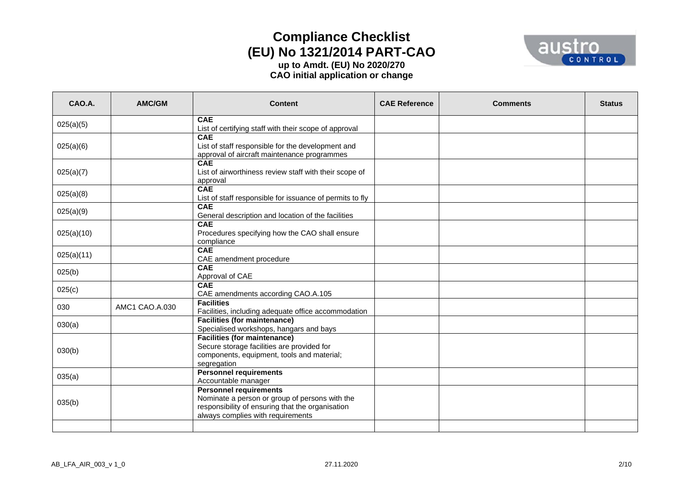

| CAO.A.     | AMC/GM         | <b>Content</b>                                                                                                                                                           | <b>CAE Reference</b> | <b>Comments</b> | <b>Status</b> |
|------------|----------------|--------------------------------------------------------------------------------------------------------------------------------------------------------------------------|----------------------|-----------------|---------------|
| 025(a)(5)  |                | <b>CAE</b><br>List of certifying staff with their scope of approval                                                                                                      |                      |                 |               |
| 025(a)(6)  |                | <b>CAE</b><br>List of staff responsible for the development and<br>approval of aircraft maintenance programmes                                                           |                      |                 |               |
| 025(a)(7)  |                | <b>CAE</b><br>List of airworthiness review staff with their scope of<br>approval                                                                                         |                      |                 |               |
| 025(a)(8)  |                | <b>CAE</b><br>List of staff responsible for issuance of permits to fly                                                                                                   |                      |                 |               |
| 025(a)(9)  |                | <b>CAE</b><br>General description and location of the facilities                                                                                                         |                      |                 |               |
| 025(a)(10) |                | <b>CAE</b><br>Procedures specifying how the CAO shall ensure<br>compliance                                                                                               |                      |                 |               |
| 025(a)(11) |                | <b>CAE</b><br>CAE amendment procedure                                                                                                                                    |                      |                 |               |
| 025(b)     |                | <b>CAE</b><br>Approval of CAE                                                                                                                                            |                      |                 |               |
| 025(c)     |                | CAE<br>CAE amendments according CAO.A.105                                                                                                                                |                      |                 |               |
| 030        | AMC1 CAO.A.030 | <b>Facilities</b><br>Facilities, including adequate office accommodation                                                                                                 |                      |                 |               |
| 030(a)     |                | <b>Facilities (for maintenance)</b><br>Specialised workshops, hangars and bays                                                                                           |                      |                 |               |
| 030(b)     |                | <b>Facilities (for maintenance)</b><br>Secure storage facilities are provided for<br>components, equipment, tools and material;<br>segregation                           |                      |                 |               |
| 035(a)     |                | <b>Personnel requirements</b><br>Accountable manager                                                                                                                     |                      |                 |               |
| 035(b)     |                | <b>Personnel requirements</b><br>Nominate a person or group of persons with the<br>responsibility of ensuring that the organisation<br>always complies with requirements |                      |                 |               |
|            |                |                                                                                                                                                                          |                      |                 |               |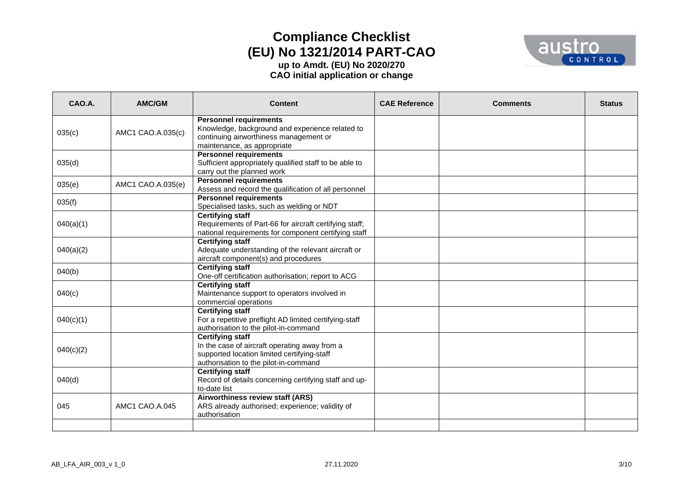

| CAO.A.    | AMC/GM            | <b>Content</b>                                                                                                                                                   | <b>CAE Reference</b> | <b>Comments</b> | <b>Status</b> |
|-----------|-------------------|------------------------------------------------------------------------------------------------------------------------------------------------------------------|----------------------|-----------------|---------------|
| 035(c)    | AMC1 CAO.A.035(c) | <b>Personnel requirements</b><br>Knowledge, background and experience related to<br>continuing airworthiness management or<br>maintenance, as appropriate        |                      |                 |               |
| 035(d)    |                   | <b>Personnel requirements</b><br>Sufficient appropriately qualified staff to be able to<br>carry out the planned work                                            |                      |                 |               |
| 035(e)    | AMC1 CAO.A.035(e) | <b>Personnel requirements</b><br>Assess and record the qualification of all personnel                                                                            |                      |                 |               |
| 035(f)    |                   | <b>Personnel requirements</b><br>Specialised tasks, such as welding or NDT                                                                                       |                      |                 |               |
| 040(a)(1) |                   | <b>Certifying staff</b><br>Requirements of Part-66 for aircraft certifying staff;<br>national requirements for component certifying staff                        |                      |                 |               |
| 040(a)(2) |                   | <b>Certifying staff</b><br>Adequate understanding of the relevant aircraft or<br>aircraft component(s) and procedures                                            |                      |                 |               |
| 040(b)    |                   | <b>Certifying staff</b><br>One-off certification authorisation; report to ACG                                                                                    |                      |                 |               |
| 040(c)    |                   | <b>Certifying staff</b><br>Maintenance support to operators involved in<br>commercial operations                                                                 |                      |                 |               |
| 040(c)(1) |                   | <b>Certifying staff</b><br>For a repetitive preflight AD limited certifying-staff<br>authorisation to the pilot-in-command                                       |                      |                 |               |
| 040(c)(2) |                   | <b>Certifying staff</b><br>In the case of aircraft operating away from a<br>supported location limited certifying-staff<br>authorisation to the pilot-in-command |                      |                 |               |
| 040(d)    |                   | <b>Certifying staff</b><br>Record of details concerning certifying staff and up-<br>to-date list                                                                 |                      |                 |               |
| 045       | AMC1 CAO.A.045    | Airworthiness review staff (ARS)<br>ARS already authorised; experience; validity of<br>authorisation                                                             |                      |                 |               |
|           |                   |                                                                                                                                                                  |                      |                 |               |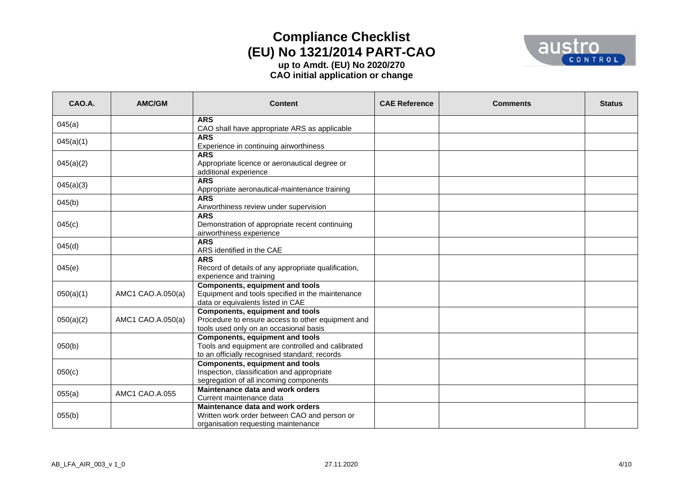

| CAO.A.    | AMC/GM            | <b>Content</b>                                                                                                                               | <b>CAE Reference</b> | <b>Comments</b> | <b>Status</b> |
|-----------|-------------------|----------------------------------------------------------------------------------------------------------------------------------------------|----------------------|-----------------|---------------|
| 045(a)    |                   | <b>ARS</b><br>CAO shall have appropriate ARS as applicable                                                                                   |                      |                 |               |
| 045(a)(1) |                   | <b>ARS</b><br>Experience in continuing airworthiness                                                                                         |                      |                 |               |
| 045(a)(2) |                   | <b>ARS</b><br>Appropriate licence or aeronautical degree or<br>additional experience                                                         |                      |                 |               |
| 045(a)(3) |                   | <b>ARS</b><br>Appropriate aeronautical-maintenance training                                                                                  |                      |                 |               |
| 045(b)    |                   | <b>ARS</b><br>Airworthiness review under supervision                                                                                         |                      |                 |               |
| 045(c)    |                   | <b>ARS</b><br>Demonstration of appropriate recent continuing<br>airworthiness experience                                                     |                      |                 |               |
| 045(d)    |                   | <b>ARS</b><br>ARS identified in the CAE                                                                                                      |                      |                 |               |
| 045(e)    |                   | <b>ARS</b><br>Record of details of any appropriate qualification,<br>experience and training                                                 |                      |                 |               |
| 050(a)(1) | AMC1 CAO.A.050(a) | <b>Components, equipment and tools</b><br>Equipment and tools specified in the maintenance<br>data or equivalents listed in CAE              |                      |                 |               |
| 050(a)(2) | AMC1 CAO.A.050(a) | <b>Components, equipment and tools</b><br>Procedure to ensure access to other equipment and<br>tools used only on an occasional basis        |                      |                 |               |
| 050(b)    |                   | <b>Components, equipment and tools</b><br>Tools and equipment are controlled and calibrated<br>to an officially recognised standard; records |                      |                 |               |
| 050(c)    |                   | <b>Components, equipment and tools</b><br>Inspection, classification and appropriate<br>segregation of all incoming components               |                      |                 |               |
| 055(a)    | AMC1 CAO.A.055    | Maintenance data and work orders<br>Current maintenance data                                                                                 |                      |                 |               |
| 055(b)    |                   | Maintenance data and work orders<br>Written work order between CAO and person or<br>organisation requesting maintenance                      |                      |                 |               |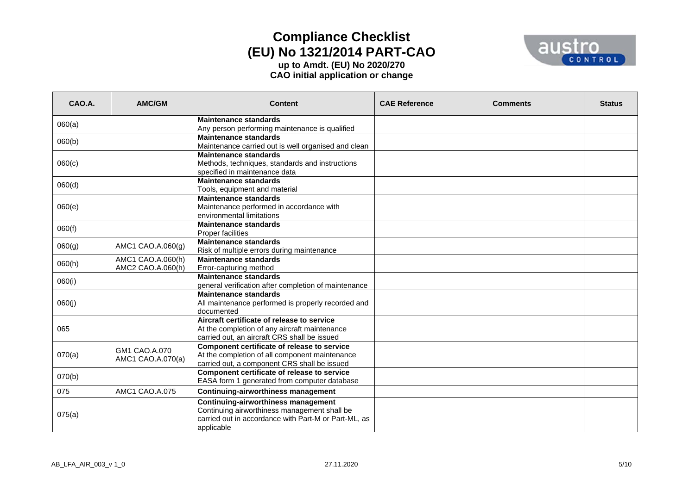

| CAO.A. | <b>AMC/GM</b>                          | <b>Content</b>                                                                                                                                                   | <b>CAE Reference</b> | <b>Comments</b> | <b>Status</b> |
|--------|----------------------------------------|------------------------------------------------------------------------------------------------------------------------------------------------------------------|----------------------|-----------------|---------------|
| 060(a) |                                        | <b>Maintenance standards</b>                                                                                                                                     |                      |                 |               |
| 060(b) |                                        | Any person performing maintenance is qualified<br><b>Maintenance standards</b>                                                                                   |                      |                 |               |
|        |                                        | Maintenance carried out is well organised and clean<br><b>Maintenance standards</b>                                                                              |                      |                 |               |
| 060(c) |                                        | Methods, techniques, standards and instructions<br>specified in maintenance data                                                                                 |                      |                 |               |
| 060(d) |                                        | <b>Maintenance standards</b><br>Tools, equipment and material                                                                                                    |                      |                 |               |
| 060(e) |                                        | <b>Maintenance standards</b><br>Maintenance performed in accordance with<br>environmental limitations                                                            |                      |                 |               |
| 060(f) |                                        | <b>Maintenance standards</b><br><b>Proper facilities</b>                                                                                                         |                      |                 |               |
| 060(g) | AMC1 CAO.A.060(g)                      | <b>Maintenance standards</b><br>Risk of multiple errors during maintenance                                                                                       |                      |                 |               |
| 060(h) | AMC1 CAO.A.060(h)<br>AMC2 CAO.A.060(h) | <b>Maintenance standards</b><br>Error-capturing method                                                                                                           |                      |                 |               |
| 060(i) |                                        | <b>Maintenance standards</b><br>general verification after completion of maintenance                                                                             |                      |                 |               |
| 060(j) |                                        | <b>Maintenance standards</b><br>All maintenance performed is properly recorded and<br>documented                                                                 |                      |                 |               |
| 065    |                                        | Aircraft certificate of release to service<br>At the completion of any aircraft maintenance<br>carried out, an aircraft CRS shall be issued                      |                      |                 |               |
| 070(a) | GM1 CAO.A.070<br>AMC1 CAO.A.070(a)     | Component certificate of release to service<br>At the completion of all component maintenance<br>carried out, a component CRS shall be issued                    |                      |                 |               |
| 070(b) |                                        | Component certificate of release to service<br>EASA form 1 generated from computer database                                                                      |                      |                 |               |
| 075    | AMC1 CAO.A.075                         | <b>Continuing-airworthiness management</b>                                                                                                                       |                      |                 |               |
| 075(a) |                                        | <b>Continuing-airworthiness management</b><br>Continuing airworthiness management shall be<br>carried out in accordance with Part-M or Part-ML, as<br>applicable |                      |                 |               |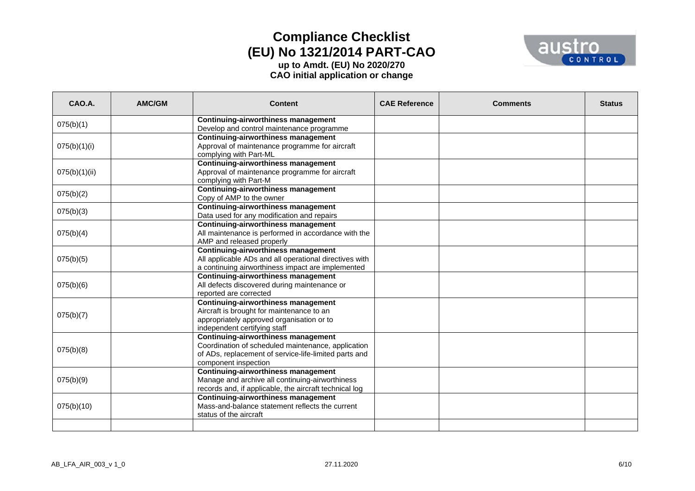

| CAO.A.        | AMC/GM | <b>Content</b>                                                                                    | <b>CAE Reference</b> | <b>Comments</b> | <b>Status</b> |
|---------------|--------|---------------------------------------------------------------------------------------------------|----------------------|-----------------|---------------|
| 075(b)(1)     |        | <b>Continuing-airworthiness management</b>                                                        |                      |                 |               |
|               |        | Develop and control maintenance programme<br>Continuing-airworthiness management                  |                      |                 |               |
| 075(b)(1)(i)  |        | Approval of maintenance programme for aircraft                                                    |                      |                 |               |
|               |        | complying with Part-ML                                                                            |                      |                 |               |
|               |        | <b>Continuing-airworthiness management</b>                                                        |                      |                 |               |
| 075(b)(1)(ii) |        | Approval of maintenance programme for aircraft                                                    |                      |                 |               |
|               |        | complying with Part-M                                                                             |                      |                 |               |
| 075(b)(2)     |        | <b>Continuing-airworthiness management</b>                                                        |                      |                 |               |
|               |        | Copy of AMP to the owner                                                                          |                      |                 |               |
| 075(b)(3)     |        | Continuing-airworthiness management                                                               |                      |                 |               |
|               |        | Data used for any modification and repairs                                                        |                      |                 |               |
| 075(b)(4)     |        | <b>Continuing-airworthiness management</b><br>All maintenance is performed in accordance with the |                      |                 |               |
|               |        | AMP and released properly                                                                         |                      |                 |               |
|               |        | <b>Continuing-airworthiness management</b>                                                        |                      |                 |               |
| 075(b)(5)     |        | All applicable ADs and all operational directives with                                            |                      |                 |               |
|               |        | a continuing airworthiness impact are implemented                                                 |                      |                 |               |
|               |        | <b>Continuing-airworthiness management</b>                                                        |                      |                 |               |
| 075(b)(6)     |        | All defects discovered during maintenance or                                                      |                      |                 |               |
|               |        | reported are corrected                                                                            |                      |                 |               |
|               |        | Continuing-airworthiness management                                                               |                      |                 |               |
| 075(b)(7)     |        | Aircraft is brought for maintenance to an                                                         |                      |                 |               |
|               |        | appropriately approved organisation or to<br>independent certifying staff                         |                      |                 |               |
|               |        | <b>Continuing-airworthiness management</b>                                                        |                      |                 |               |
|               |        | Coordination of scheduled maintenance, application                                                |                      |                 |               |
| 075(b)(8)     |        | of ADs, replacement of service-life-limited parts and                                             |                      |                 |               |
|               |        | component inspection                                                                              |                      |                 |               |
|               |        | <b>Continuing-airworthiness management</b>                                                        |                      |                 |               |
| 075(b)(9)     |        | Manage and archive all continuing-airworthiness                                                   |                      |                 |               |
|               |        | records and, if applicable, the aircraft technical log                                            |                      |                 |               |
|               |        | <b>Continuing-airworthiness management</b>                                                        |                      |                 |               |
| 075(b)(10)    |        | Mass-and-balance statement reflects the current<br>status of the aircraft                         |                      |                 |               |
|               |        |                                                                                                   |                      |                 |               |
|               |        |                                                                                                   |                      |                 |               |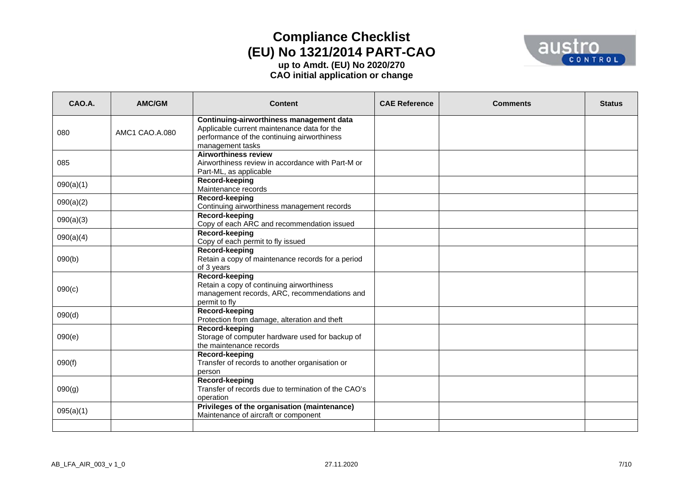

| CAO.A.    | AMC/GM         | <b>Content</b>                                                                                                                                             | <b>CAE Reference</b> | <b>Comments</b> | <b>Status</b> |
|-----------|----------------|------------------------------------------------------------------------------------------------------------------------------------------------------------|----------------------|-----------------|---------------|
| 080       | AMC1 CAO.A.080 | Continuing-airworthiness management data<br>Applicable current maintenance data for the<br>performance of the continuing airworthiness<br>management tasks |                      |                 |               |
| 085       |                | <b>Airworthiness review</b><br>Airworthiness review in accordance with Part-M or<br>Part-ML, as applicable                                                 |                      |                 |               |
| 090(a)(1) |                | Record-keeping<br>Maintenance records                                                                                                                      |                      |                 |               |
| 090(a)(2) |                | Record-keeping<br>Continuing airworthiness management records                                                                                              |                      |                 |               |
| 090(a)(3) |                | Record-keeping<br>Copy of each ARC and recommendation issued                                                                                               |                      |                 |               |
| 090(a)(4) |                | Record-keeping<br>Copy of each permit to fly issued                                                                                                        |                      |                 |               |
| 090(b)    |                | Record-keeping<br>Retain a copy of maintenance records for a period<br>of 3 years                                                                          |                      |                 |               |
| 090(c)    |                | Record-keeping<br>Retain a copy of continuing airworthiness<br>management records, ARC, recommendations and<br>permit to fly                               |                      |                 |               |
| 090(d)    |                | Record-keeping<br>Protection from damage, alteration and theft                                                                                             |                      |                 |               |
| 090(e)    |                | Record-keeping<br>Storage of computer hardware used for backup of<br>the maintenance records                                                               |                      |                 |               |
| 090(f)    |                | Record-keeping<br>Transfer of records to another organisation or<br>person                                                                                 |                      |                 |               |
| 090(g)    |                | Record-keeping<br>Transfer of records due to termination of the CAO's<br>operation                                                                         |                      |                 |               |
| 095(a)(1) |                | Privileges of the organisation (maintenance)<br>Maintenance of aircraft or component                                                                       |                      |                 |               |
|           |                |                                                                                                                                                            |                      |                 |               |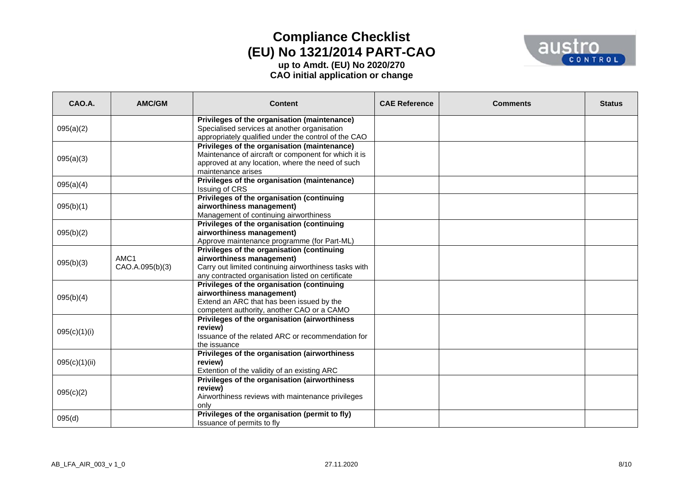

| CAO.A.        | AMC/GM          | <b>Content</b>                                                                                       | <b>CAE Reference</b> | <b>Comments</b> | <b>Status</b> |
|---------------|-----------------|------------------------------------------------------------------------------------------------------|----------------------|-----------------|---------------|
|               |                 | Privileges of the organisation (maintenance)                                                         |                      |                 |               |
| 095(a)(2)     |                 | Specialised services at another organisation                                                         |                      |                 |               |
|               |                 | appropriately qualified under the control of the CAO                                                 |                      |                 |               |
|               |                 | Privileges of the organisation (maintenance)<br>Maintenance of aircraft or component for which it is |                      |                 |               |
| 095(a)(3)     |                 | approved at any location, where the need of such                                                     |                      |                 |               |
|               |                 | maintenance arises                                                                                   |                      |                 |               |
|               |                 | Privileges of the organisation (maintenance)                                                         |                      |                 |               |
| 095(a)(4)     |                 | Issuing of CRS                                                                                       |                      |                 |               |
|               |                 | Privileges of the organisation (continuing                                                           |                      |                 |               |
| 095(b)(1)     |                 | airworthiness management)                                                                            |                      |                 |               |
|               |                 | Management of continuing airworthiness                                                               |                      |                 |               |
|               |                 | Privileges of the organisation (continuing                                                           |                      |                 |               |
| 095(b)(2)     |                 | airworthiness management)                                                                            |                      |                 |               |
|               |                 | Approve maintenance programme (for Part-ML)<br>Privileges of the organisation (continuing            |                      |                 |               |
| 095(b)(3)     | AMC1            | airworthiness management)                                                                            |                      |                 |               |
|               | CAO.A.095(b)(3) | Carry out limited continuing airworthiness tasks with                                                |                      |                 |               |
|               |                 | any contracted organisation listed on certificate                                                    |                      |                 |               |
|               |                 | Privileges of the organisation (continuing                                                           |                      |                 |               |
|               |                 | airworthiness management)                                                                            |                      |                 |               |
| 095(b)(4)     |                 | Extend an ARC that has been issued by the                                                            |                      |                 |               |
|               |                 | competent authority, another CAO or a CAMO                                                           |                      |                 |               |
|               |                 | Privileges of the organisation (airworthiness                                                        |                      |                 |               |
| 095(c)(1)(i)  |                 | review)                                                                                              |                      |                 |               |
|               |                 | Issuance of the related ARC or recommendation for                                                    |                      |                 |               |
|               |                 | the issuance                                                                                         |                      |                 |               |
| 095(c)(1)(ii) |                 | Privileges of the organisation (airworthiness<br>review)                                             |                      |                 |               |
|               |                 | Extention of the validity of an existing ARC                                                         |                      |                 |               |
|               |                 | Privileges of the organisation (airworthiness                                                        |                      |                 |               |
|               |                 | review)                                                                                              |                      |                 |               |
| 095(c)(2)     |                 | Airworthiness reviews with maintenance privileges                                                    |                      |                 |               |
|               |                 | only                                                                                                 |                      |                 |               |
| 095(d)        |                 | Privileges of the organisation (permit to fly)                                                       |                      |                 |               |
|               |                 | Issuance of permits to fly                                                                           |                      |                 |               |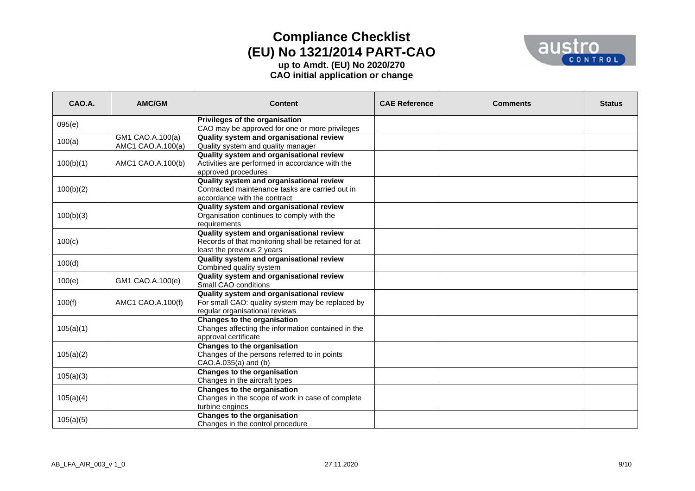

| CAO.A.    | AMC/GM                                | <b>Content</b>                                                                                                                 | <b>CAE Reference</b> | <b>Comments</b> | <b>Status</b> |
|-----------|---------------------------------------|--------------------------------------------------------------------------------------------------------------------------------|----------------------|-----------------|---------------|
| 095(e)    |                                       | Privileges of the organisation<br>CAO may be approved for one or more privileges                                               |                      |                 |               |
| 100(a)    | GM1 CAO.A.100(a)<br>AMC1 CAO.A.100(a) | Quality system and organisational review<br>Quality system and quality manager                                                 |                      |                 |               |
| 100(b)(1) | AMC1 CAO.A.100(b)                     | Quality system and organisational review<br>Activities are performed in accordance with the<br>approved procedures             |                      |                 |               |
| 100(b)(2) |                                       | Quality system and organisational review<br>Contracted maintenance tasks are carried out in<br>accordance with the contract    |                      |                 |               |
| 100(b)(3) |                                       | Quality system and organisational review<br>Organisation continues to comply with the<br>requirements                          |                      |                 |               |
| 100(c)    |                                       | Quality system and organisational review<br>Records of that monitoring shall be retained for at<br>least the previous 2 years  |                      |                 |               |
| 100(d)    |                                       | Quality system and organisational review<br>Combined quality system                                                            |                      |                 |               |
| 100(e)    | GM1 CAO.A.100(e)                      | Quality system and organisational review<br>Small CAO conditions                                                               |                      |                 |               |
| 100(f)    | AMC1 CAO.A.100(f)                     | Quality system and organisational review<br>For small CAO: quality system may be replaced by<br>regular organisational reviews |                      |                 |               |
| 105(a)(1) |                                       | <b>Changes to the organisation</b><br>Changes affecting the information contained in the<br>approval certificate               |                      |                 |               |
| 105(a)(2) |                                       | Changes to the organisation<br>Changes of the persons referred to in points<br>CAO.A.035(a) and (b)                            |                      |                 |               |
| 105(a)(3) |                                       | Changes to the organisation<br>Changes in the aircraft types                                                                   |                      |                 |               |
| 105(a)(4) |                                       | <b>Changes to the organisation</b><br>Changes in the scope of work in case of complete<br>turbine engines                      |                      |                 |               |
| 105(a)(5) |                                       | Changes to the organisation<br>Changes in the control procedure                                                                |                      |                 |               |